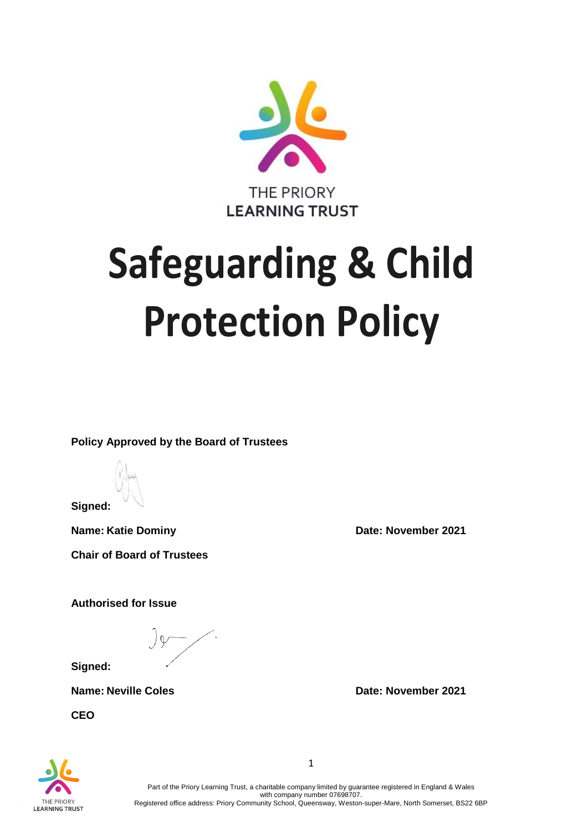

# **Safeguarding & Child Protection Policy**

**Policy Approved by the Board of Trustees**

**Signed:**

**Name:** Katie Dominy **Date:** November 2021 **Chair of Board of Trustees**

**Authorised for Issue**

**Signed:**

**CEO**

**Name:** Neville Coles *Date:* **November 2021** 



Part of the Priory Learning Trust, a charitable company limited by guarantee registered in England & Wales with company number 07698707. Registered office address: Priory Community School, Queensway, Weston-super-Mare, North Somerset, BS22 6BP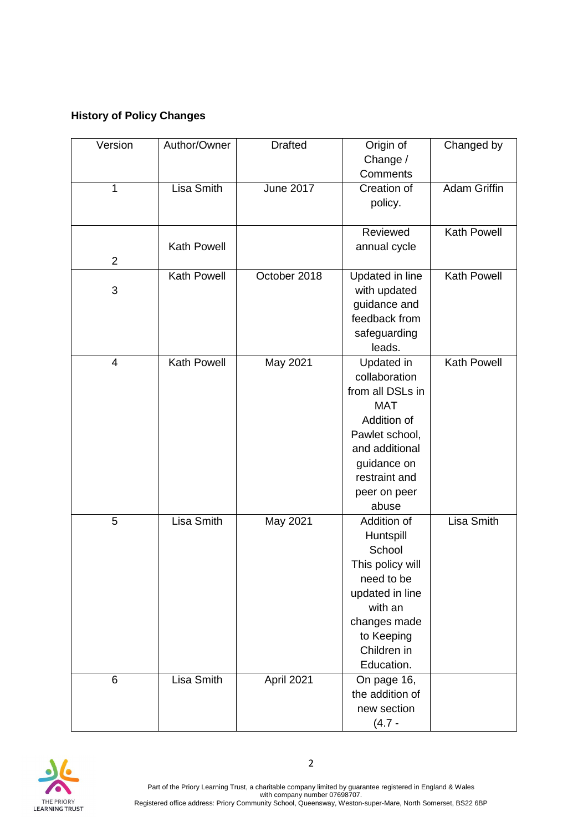## **History of Policy Changes**

| Version        | Author/Owner       | <b>Drafted</b>   | Origin of        | Changed by          |
|----------------|--------------------|------------------|------------------|---------------------|
|                |                    |                  | Change /         |                     |
|                |                    |                  | Comments         |                     |
| 1              | <b>Lisa Smith</b>  | <b>June 2017</b> | Creation of      | <b>Adam Griffin</b> |
|                |                    |                  | policy.          |                     |
|                |                    |                  |                  |                     |
|                |                    |                  | Reviewed         | <b>Kath Powell</b>  |
|                | Kath Powell        |                  | annual cycle     |                     |
| $\overline{2}$ |                    |                  |                  |                     |
|                | <b>Kath Powell</b> | October 2018     | Updated in line  | <b>Kath Powell</b>  |
| 3              |                    |                  | with updated     |                     |
|                |                    |                  | guidance and     |                     |
|                |                    |                  | feedback from    |                     |
|                |                    |                  | safeguarding     |                     |
|                |                    |                  | leads.           |                     |
| 4              | <b>Kath Powell</b> | May 2021         | Updated in       | <b>Kath Powell</b>  |
|                |                    |                  | collaboration    |                     |
|                |                    |                  | from all DSLs in |                     |
|                |                    |                  | <b>MAT</b>       |                     |
|                |                    |                  | Addition of      |                     |
|                |                    |                  | Pawlet school,   |                     |
|                |                    |                  | and additional   |                     |
|                |                    |                  | guidance on      |                     |
|                |                    |                  | restraint and    |                     |
|                |                    |                  | peer on peer     |                     |
|                |                    |                  | abuse            |                     |
| 5              | <b>Lisa Smith</b>  | May 2021         | Addition of      | <b>Lisa Smith</b>   |
|                |                    |                  | Huntspill        |                     |
|                |                    |                  | School           |                     |
|                |                    |                  | This policy will |                     |
|                |                    |                  | need to be       |                     |
|                |                    |                  | updated in line  |                     |
|                |                    |                  | with an          |                     |
|                |                    |                  | changes made     |                     |
|                |                    |                  | to Keeping       |                     |
|                |                    |                  | Children in      |                     |
|                |                    |                  | Education.       |                     |
| 6              | Lisa Smith         | April 2021       | On page 16,      |                     |
|                |                    |                  | the addition of  |                     |
|                |                    |                  | new section      |                     |
|                |                    |                  | $(4.7 -$         |                     |



Part of the Priory Learning Trust, a charitable company limited by guarantee registered in England & Wales with company number 07698707. Registered office address: Priory Community School, Queensway, Weston-super-Mare, North Somerset, BS22 6BP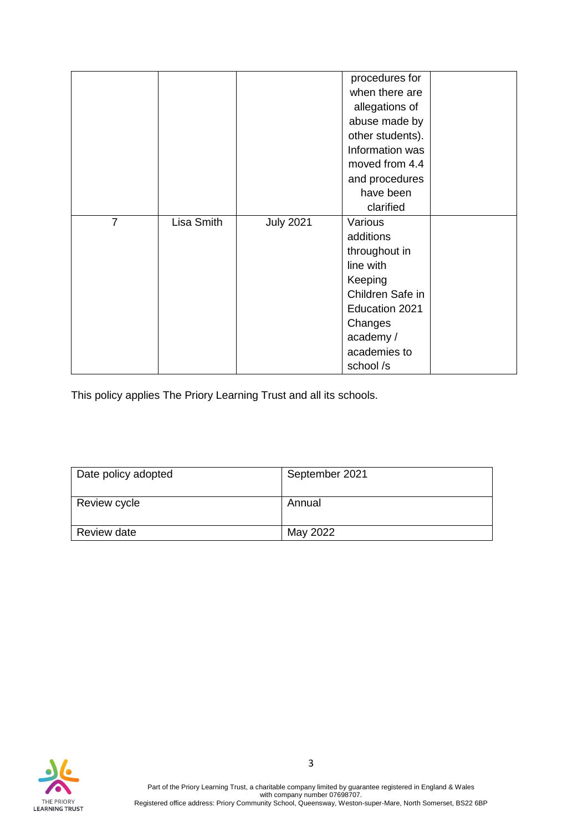|                |            |                  | procedures for   |  |
|----------------|------------|------------------|------------------|--|
|                |            |                  | when there are   |  |
|                |            |                  | allegations of   |  |
|                |            |                  | abuse made by    |  |
|                |            |                  | other students). |  |
|                |            |                  | Information was  |  |
|                |            |                  | moved from 4.4   |  |
|                |            |                  | and procedures   |  |
|                |            |                  | have been        |  |
|                |            |                  | clarified        |  |
| $\overline{7}$ | Lisa Smith | <b>July 2021</b> | Various          |  |
|                |            |                  | additions        |  |
|                |            |                  | throughout in    |  |
|                |            |                  | line with        |  |
|                |            |                  | Keeping          |  |
|                |            |                  | Children Safe in |  |
|                |            |                  | Education 2021   |  |
|                |            |                  | Changes          |  |
|                |            |                  | academy /        |  |
|                |            |                  | academies to     |  |
|                |            |                  | school/s         |  |

This policy applies The Priory Learning Trust and all its schools.

| Date policy adopted | September 2021 |
|---------------------|----------------|
| Review cycle        | Annual         |
| Review date         | May 2022       |

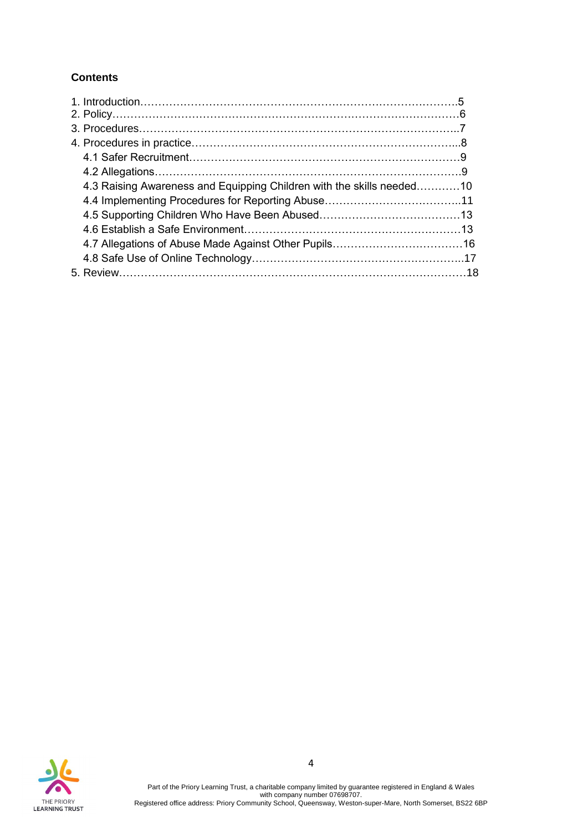## **Contents**

| 4.3 Raising Awareness and Equipping Children with the skills needed10 |  |
|-----------------------------------------------------------------------|--|
|                                                                       |  |
|                                                                       |  |
|                                                                       |  |
|                                                                       |  |
|                                                                       |  |
|                                                                       |  |

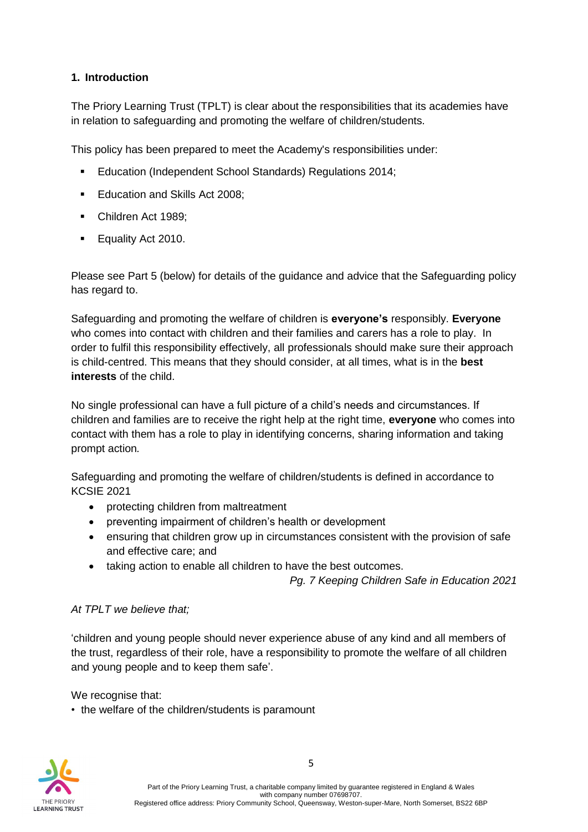## **1. Introduction**

The Priory Learning Trust (TPLT) is clear about the responsibilities that its academies have in relation to safeguarding and promoting the welfare of children/students.

This policy has been prepared to meet the Academy's responsibilities under:

- Education (Independent School Standards) Regulations 2014;
- Education and Skills Act 2008:
- Children Act 1989:
- Equality Act 2010.

Please see Part 5 (below) for details of the guidance and advice that the Safeguarding policy has regard to.

Safeguarding and promoting the welfare of children is **everyone's** responsibly. **Everyone**  who comes into contact with children and their families and carers has a role to play. In order to fulfil this responsibility effectively, all professionals should make sure their approach is child-centred. This means that they should consider, at all times, what is in the **best interests** of the child.

No single professional can have a full picture of a child's needs and circumstances. If children and families are to receive the right help at the right time, **everyone** who comes into contact with them has a role to play in identifying concerns, sharing information and taking prompt action*.*

Safeguarding and promoting the welfare of children/students is defined in accordance to KCSIE 2021

- protecting children from maltreatment
- preventing impairment of children's health or development
- ensuring that children grow up in circumstances consistent with the provision of safe and effective care; and
- taking action to enable all children to have the best outcomes.

*Pg. 7 Keeping Children Safe in Education 2021*

#### *At TPLT we believe that;*

'children and young people should never experience abuse of any kind and all members of the trust, regardless of their role, have a responsibility to promote the welfare of all children and young people and to keep them safe'.

We recognise that:

• the welfare of the children/students is paramount

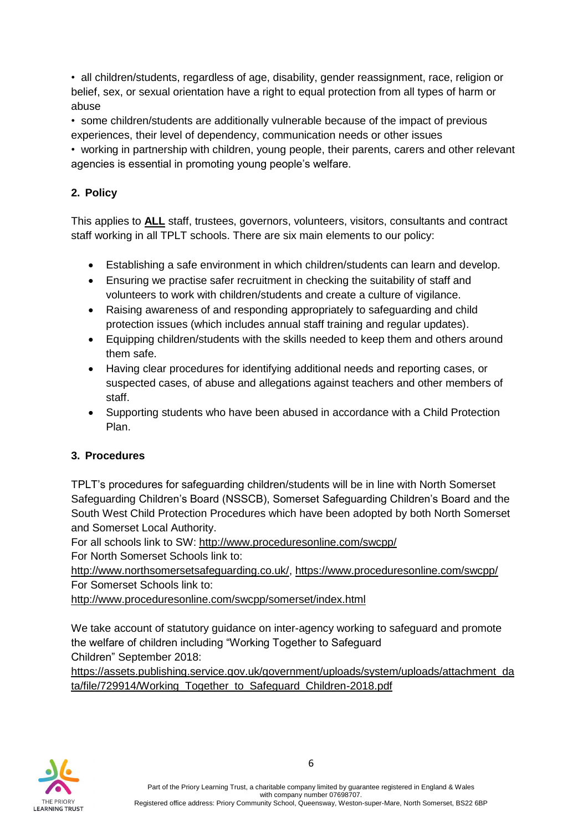• all children/students, regardless of age, disability, gender reassignment, race, religion or belief, sex, or sexual orientation have a right to equal protection from all types of harm or abuse

• some children/students are additionally vulnerable because of the impact of previous experiences, their level of dependency, communication needs or other issues

• working in partnership with children, young people, their parents, carers and other relevant agencies is essential in promoting young people's welfare.

## **2. Policy**

This applies to **ALL** staff, trustees, governors, volunteers, visitors, consultants and contract staff working in all TPLT schools. There are six main elements to our policy:

- Establishing a safe environment in which children/students can learn and develop.
- Ensuring we practise safer recruitment in checking the suitability of staff and volunteers to work with children/students and create a culture of vigilance.
- Raising awareness of and responding appropriately to safeguarding and child protection issues (which includes annual staff training and regular updates).
- Equipping children/students with the skills needed to keep them and others around them safe.
- Having clear procedures for identifying additional needs and reporting cases, or suspected cases, of abuse and allegations against teachers and other members of staff.
- Supporting students who have been abused in accordance with a Child Protection Plan.

## **3. Procedures**

TPLT's procedures for safeguarding children/students will be in line with North Somerset Safeguarding Children's Board (NSSCB), Somerset Safeguarding Children's Board and the South West Child Protection Procedures which have been adopted by both North Somerset and Somerset Local Authority.

For all schools link to SW:<http://www.proceduresonline.com/swcpp/>

For North Somerset Schools link to:

[http://www.northsomersetsafeguarding.co.uk/,](http://www.northsomersetsafeguarding.co.uk/)<https://www.proceduresonline.com/swcpp/> For Somerset Schools link to:

<http://www.proceduresonline.com/swcpp/somerset/index.html>

We take account of statutory guidance on inter-agency working to safeguard and promote the welfare of children including "Working Together to Safeguard Children" September 2018:

https://assets.publishing.service.gov.uk/government/uploads/system/uploads/attachment\_da ta/file/729914/Working\_Together\_to\_Safeguard\_Children-2018.pdf

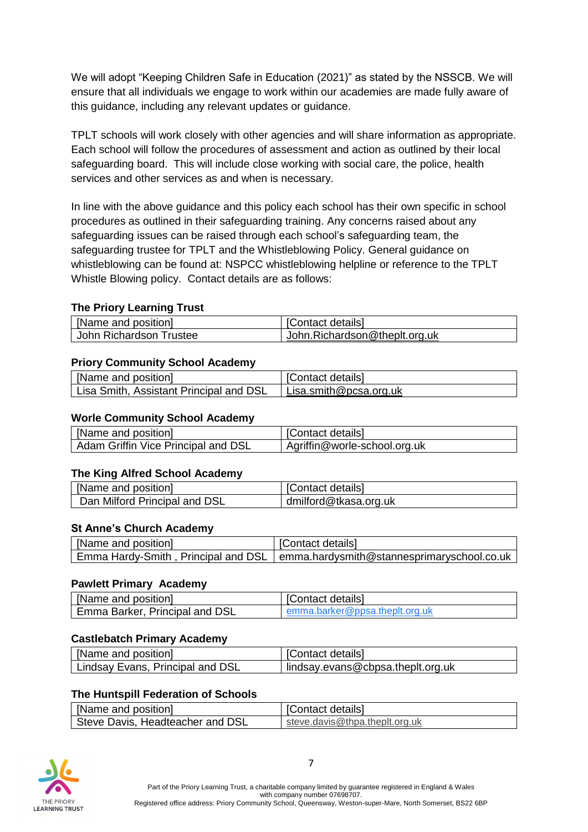We will adopt "Keeping Children Safe in Education (2021)" as stated by the NSSCB. We will ensure that all individuals we engage to work within our academies are made fully aware of this guidance, including any relevant updates or guidance.

TPLT schools will work closely with other agencies and will share information as appropriate. Each school will follow the procedures of assessment and action as outlined by their local safeguarding board. This will include close working with social care, the police, health services and other services as and when is necessary.

In line with the above guidance and this policy each school has their own specific in school procedures as outlined in their safeguarding training. Any concerns raised about any safeguarding issues can be raised through each school's safeguarding team, the safeguarding trustee for TPLT and the Whistleblowing Policy. General guidance on whistleblowing can be found at: NSPCC whistleblowing helpline or reference to the TPLT Whistle Blowing policy. Contact details are as follows:

#### **The Priory Learning Trust**

| [Name and position]     | [Contact details]             |
|-------------------------|-------------------------------|
| John Richardson Trustee | John.Richardson@theplt.org.uk |

#### **Priory Community School Academy**

| [Name and position]                     | [Contact details]      |
|-----------------------------------------|------------------------|
| Lisa Smith, Assistant Principal and DSL | Lisa.smith@pcsa.org.uk |

#### **Worle Community School Academy**

| [Name and position]                 | [Contact details]            |
|-------------------------------------|------------------------------|
| Adam Griffin Vice Principal and DSL | Agriffin@worle-school.org.uk |

#### **The King Alfred School Academy**

| [Name and position]           | [Contact details]     |
|-------------------------------|-----------------------|
|                               |                       |
| Dan Milford Principal and DSL | dmilford@tkasa.org.uk |

#### **St Anne's Church Academy**

| [Name and position] | [Contact details]                                                                |
|---------------------|----------------------------------------------------------------------------------|
|                     | Emma Hardy-Smith, Principal and DSL   emma.hardysmith@stannesprimaryschool.co.uk |

#### **Pawlett Primary Academy**

| [Name and position]                   | [Contact details]              |
|---------------------------------------|--------------------------------|
| <b>Emma Barker, Principal and DSL</b> | emma.barker@ppsa.theplt.org.uk |

#### **Castlebatch Primary Academy**

| [Name and position]              | <sup>1</sup> [Contact details]    |
|----------------------------------|-----------------------------------|
| Lindsay Evans, Principal and DSL | lindsay.evans@cbpsa.theplt.org.uk |

#### **The Huntspill Federation of Schools**

| [Name and position]              | [Contact details]              |
|----------------------------------|--------------------------------|
| Steve Davis, Headteacher and DSL | steve.davis@thpa.theplt.org.uk |

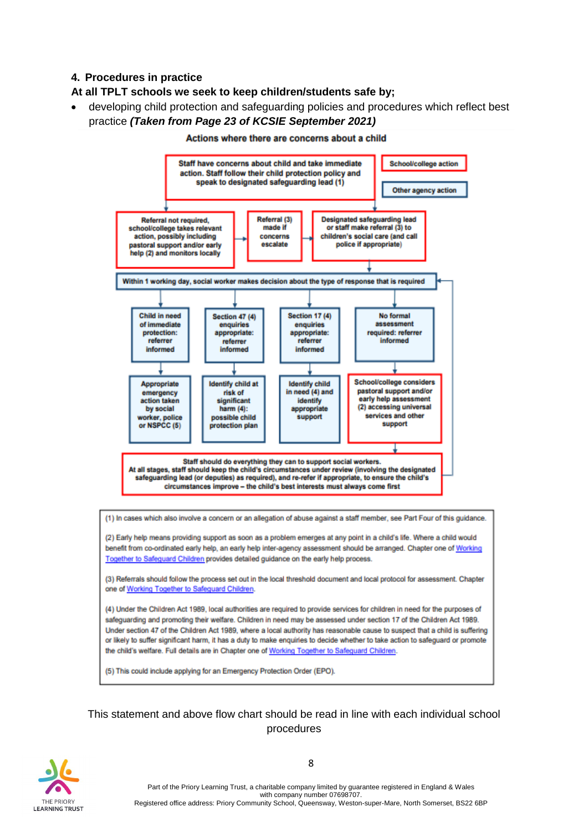## **4. Procedures in practice**

#### **At all TPLT schools we seek to keep children/students safe by;**

• developing child protection and safeguarding policies and procedures which reflect best practice *(Taken from Page 23 of KCSIE September 2021)*



#### Actions where there are concerns about a child

(1) In cases which also involve a concern or an allegation of abuse against a staff member, see Part Four of this guidance.

(2) Early help means providing support as soon as a problem emerges at any point in a child's life. Where a child would benefit from co-ordinated early help, an early help inter-agency assessment should be arranged. Chapter one of Working Together to Safeguard Children provides detailed guidance on the early help process.

(3) Referrals should follow the process set out in the local threshold document and local protocol for assessment. Chapter one of Working Together to Safeguard Children.

(4) Under the Children Act 1989, local authorities are required to provide services for children in need for the purposes of safeguarding and promoting their welfare. Children in need may be assessed under section 17 of the Children Act 1989. Under section 47 of the Children Act 1989, where a local authority has reasonable cause to suspect that a child is suffering or likely to suffer significant harm, it has a duty to make enquiries to decide whether to take action to safeguard or promote the child's welfare. Full details are in Chapter one of Working Together to Safeguard Children.

(5) This could include applying for an Emergency Protection Order (EPO).

## This statement and above flow chart should be read in line with each individual school procedures



Part of the Priory Learning Trust, a charitable company limited by guarantee registered in England & Wales with company number 07698707. Registered office address: Priory Community School, Queensway, Weston-super-Mare, North Somerset, BS22 6BP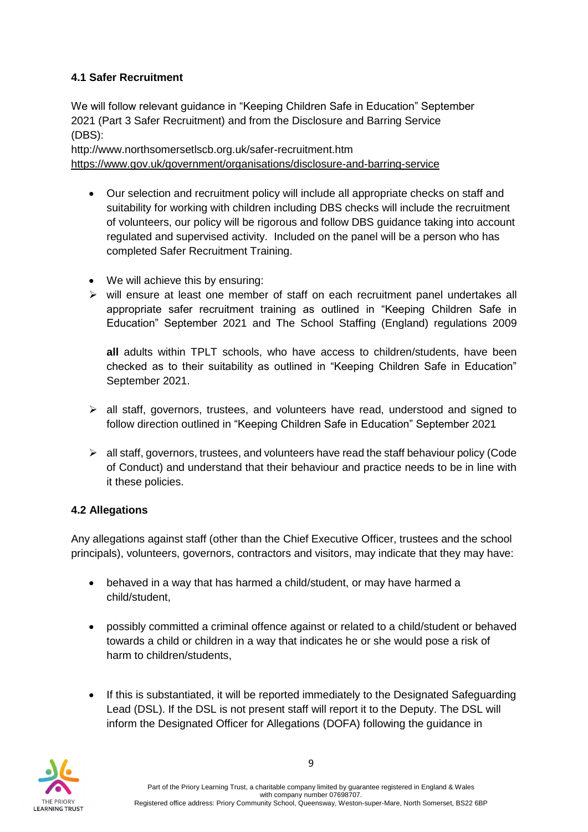## **4.1 Safer Recruitment**

We will follow relevant guidance in "Keeping Children Safe in Education" September 2021 (Part 3 Safer Recruitment) and from the Disclosure and Barring Service (DBS):

http://www.northsomersetlscb.org.uk/safer-recruitment.htm <https://www.gov.uk/government/organisations/disclosure-and-barring-service>

- Our selection and recruitment policy will include all appropriate checks on staff and suitability for working with children including DBS checks will include the recruitment of volunteers, our policy will be rigorous and follow DBS guidance taking into account regulated and supervised activity. Included on the panel will be a person who has completed Safer Recruitment Training.
- We will achieve this by ensuring:
- $\triangleright$  will ensure at least one member of staff on each recruitment panel undertakes all appropriate safer recruitment training as outlined in "Keeping Children Safe in Education" September 2021 and The School Staffing (England) regulations 2009

**all** adults within TPLT schools, who have access to children/students, have been checked as to their suitability as outlined in "Keeping Children Safe in Education" September 2021.

- $\triangleright$  all staff, governors, trustees, and volunteers have read, understood and signed to follow direction outlined in "Keeping Children Safe in Education" September 2021
- $\triangleright$  all staff, governors, trustees, and volunteers have read the staff behaviour policy (Code of Conduct) and understand that their behaviour and practice needs to be in line with it these policies.

## **4.2 Allegations**

Any allegations against staff (other than the Chief Executive Officer, trustees and the school principals), volunteers, governors, contractors and visitors, may indicate that they may have:

- behaved in a way that has harmed a child/student, or may have harmed a child/student,
- possibly committed a criminal offence against or related to a child/student or behaved towards a child or children in a way that indicates he or she would pose a risk of harm to children/students.
- If this is substantiated, it will be reported immediately to the Designated Safeguarding Lead (DSL). If the DSL is not present staff will report it to the Deputy. The DSL will inform the Designated Officer for Allegations (DOFA) following the guidance in

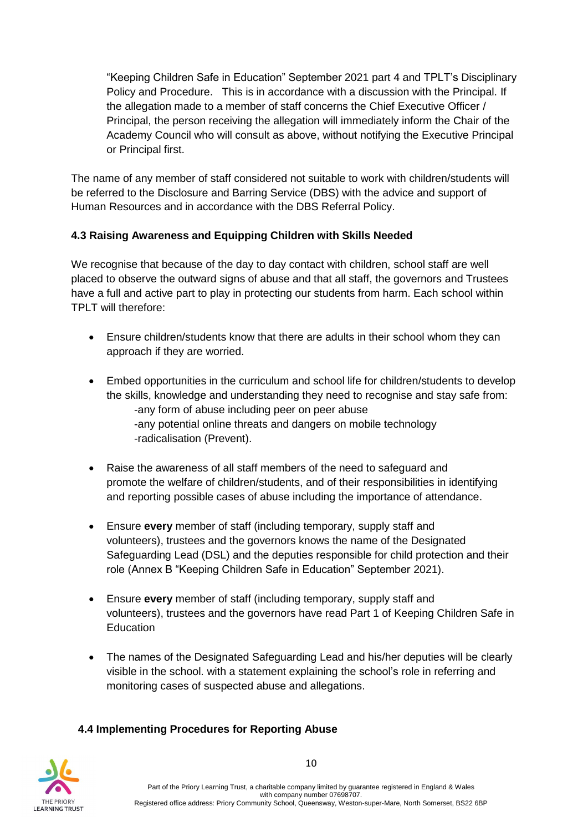"Keeping Children Safe in Education" September 2021 part 4 and TPLT's Disciplinary Policy and Procedure. This is in accordance with a discussion with the Principal. If the allegation made to a member of staff concerns the Chief Executive Officer / Principal, the person receiving the allegation will immediately inform the Chair of the Academy Council who will consult as above, without notifying the Executive Principal or Principal first.

The name of any member of staff considered not suitable to work with children/students will be referred to the Disclosure and Barring Service (DBS) with the advice and support of Human Resources and in accordance with the DBS Referral Policy.

## **4.3 Raising Awareness and Equipping Children with Skills Needed**

We recognise that because of the day to day contact with children, school staff are well placed to observe the outward signs of abuse and that all staff, the governors and Trustees have a full and active part to play in protecting our students from harm. Each school within TPLT will therefore:

- Ensure children/students know that there are adults in their school whom they can approach if they are worried.
- Embed opportunities in the curriculum and school life for children/students to develop the skills, knowledge and understanding they need to recognise and stay safe from: -any form of abuse including peer on peer abuse -any potential online threats and dangers on mobile technology -radicalisation (Prevent).
- Raise the awareness of all staff members of the need to safeguard and promote the welfare of children/students, and of their responsibilities in identifying and reporting possible cases of abuse including the importance of attendance.
- Ensure **every** member of staff (including temporary, supply staff and volunteers), trustees and the governors knows the name of the Designated Safeguarding Lead (DSL) and the deputies responsible for child protection and their role (Annex B "Keeping Children Safe in Education" September 2021).
- Ensure **every** member of staff (including temporary, supply staff and volunteers), trustees and the governors have read Part 1 of Keeping Children Safe in **Education**
- The names of the Designated Safeguarding Lead and his/her deputies will be clearly visible in the school. with a statement explaining the school's role in referring and monitoring cases of suspected abuse and allegations.

## **4.4 Implementing Procedures for Reporting Abuse**

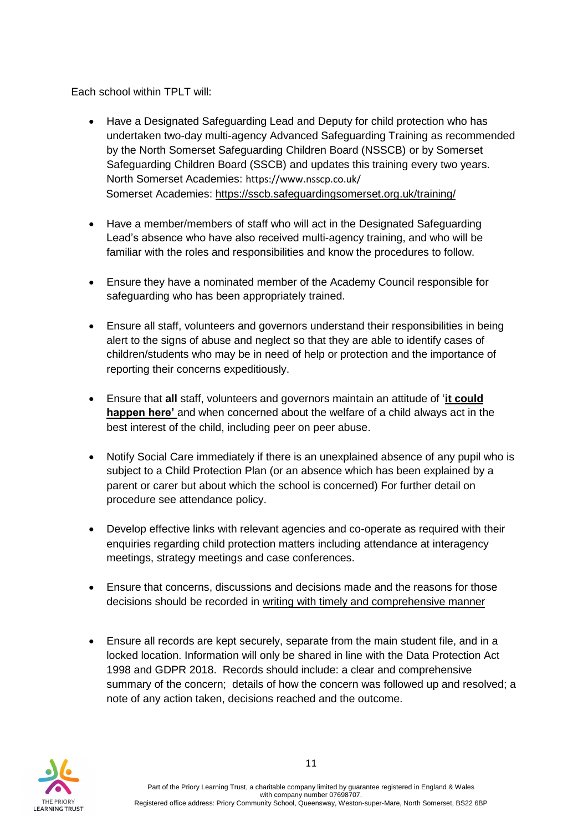Each school within TPLT will:

- Have a Designated Safeguarding Lead and Deputy for child protection who has undertaken two-day multi-agency Advanced Safeguarding Training as recommended by the North Somerset Safeguarding Children Board (NSSCB) or by Somerset Safeguarding Children Board (SSCB) and updates this training every two years. North Somerset Academies: https://www.nsscp.co.uk/ Somerset Academies:<https://sscb.safeguardingsomerset.org.uk/training/>
- Have a member/members of staff who will act in the Designated Safeguarding Lead's absence who have also received multi-agency training, and who will be familiar with the roles and responsibilities and know the procedures to follow.
- Ensure they have a nominated member of the Academy Council responsible for safeguarding who has been appropriately trained.
- Ensure all staff, volunteers and governors understand their responsibilities in being alert to the signs of abuse and neglect so that they are able to identify cases of children/students who may be in need of help or protection and the importance of reporting their concerns expeditiously.
- Ensure that **all** staff, volunteers and governors maintain an attitude of '**it could happen here'** and when concerned about the welfare of a child always act in the best interest of the child, including peer on peer abuse.
- Notify Social Care immediately if there is an unexplained absence of any pupil who is subject to a Child Protection Plan (or an absence which has been explained by a parent or carer but about which the school is concerned) For further detail on procedure see attendance policy.
- Develop effective links with relevant agencies and co-operate as required with their enquiries regarding child protection matters including attendance at interagency meetings, strategy meetings and case conferences.
- Ensure that concerns, discussions and decisions made and the reasons for those decisions should be recorded in writing with timely and comprehensive manner
- Ensure all records are kept securely, separate from the main student file, and in a locked location. Information will only be shared in line with the Data Protection Act 1998 and GDPR 2018. Records should include: a clear and comprehensive summary of the concern; details of how the concern was followed up and resolved; a note of any action taken, decisions reached and the outcome.

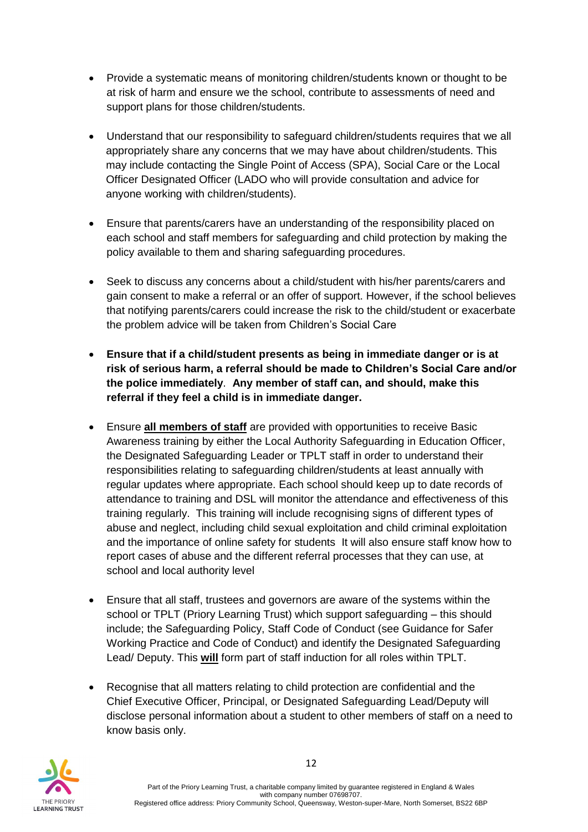- Provide a systematic means of monitoring children/students known or thought to be at risk of harm and ensure we the school, contribute to assessments of need and support plans for those children/students.
- Understand that our responsibility to safeguard children/students requires that we all appropriately share any concerns that we may have about children/students. This may include contacting the Single Point of Access (SPA), Social Care or the Local Officer Designated Officer (LADO who will provide consultation and advice for anyone working with children/students).
- Ensure that parents/carers have an understanding of the responsibility placed on each school and staff members for safeguarding and child protection by making the policy available to them and sharing safeguarding procedures.
- Seek to discuss any concerns about a child/student with his/her parents/carers and gain consent to make a referral or an offer of support. However, if the school believes that notifying parents/carers could increase the risk to the child/student or exacerbate the problem advice will be taken from Children's Social Care
- **Ensure that if a child/student presents as being in immediate danger or is at risk of serious harm, a referral should be made to Children's Social Care and/or the police immediately**. **Any member of staff can, and should, make this referral if they feel a child is in immediate danger.**
- Ensure **all members of staff** are provided with opportunities to receive Basic Awareness training by either the Local Authority Safeguarding in Education Officer, the Designated Safeguarding Leader or TPLT staff in order to understand their responsibilities relating to safeguarding children/students at least annually with regular updates where appropriate. Each school should keep up to date records of attendance to training and DSL will monitor the attendance and effectiveness of this training regularly. This training will include recognising signs of different types of abuse and neglect, including child sexual exploitation and child criminal exploitation and the importance of online safety for students. It will also ensure staff know how to report cases of abuse and the different referral processes that they can use, at school and local authority level
- Ensure that all staff, trustees and governors are aware of the systems within the school or TPLT (Priory Learning Trust) which support safeguarding – this should include; the Safeguarding Policy, Staff Code of Conduct (see Guidance for Safer Working Practice and Code of Conduct) and identify the Designated Safeguarding Lead/ Deputy. This **will** form part of staff induction for all roles within TPLT.
- Recognise that all matters relating to child protection are confidential and the Chief Executive Officer, Principal, or Designated Safeguarding Lead/Deputy will disclose personal information about a student to other members of staff on a need to know basis only.

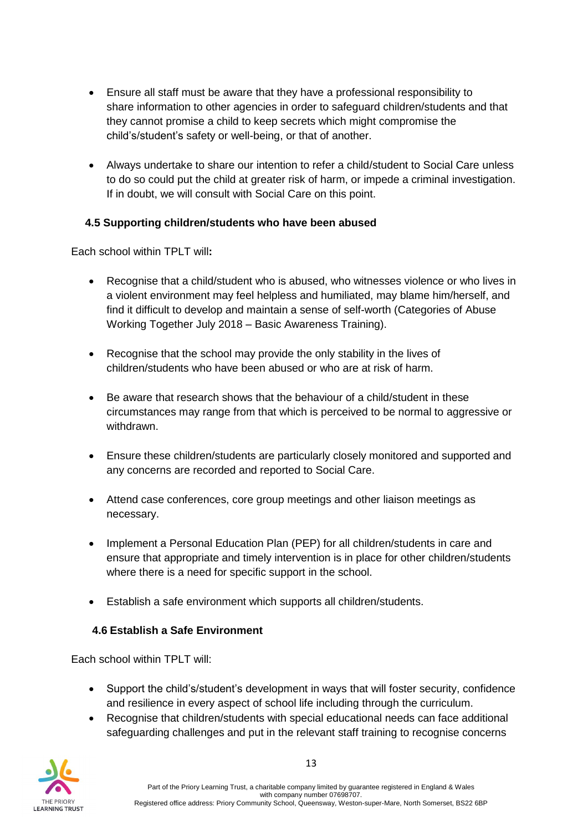- Ensure all staff must be aware that they have a professional responsibility to share information to other agencies in order to safeguard children/students and that they cannot promise a child to keep secrets which might compromise the child's/student's safety or well-being, or that of another.
- Always undertake to share our intention to refer a child/student to Social Care unless to do so could put the child at greater risk of harm, or impede a criminal investigation. If in doubt, we will consult with Social Care on this point.

## **4.5 Supporting children/students who have been abused**

Each school within TPLT will**:**

- Recognise that a child/student who is abused, who witnesses violence or who lives in a violent environment may feel helpless and humiliated, may blame him/herself, and find it difficult to develop and maintain a sense of self-worth (Categories of Abuse Working Together July 2018 – Basic Awareness Training).
- Recognise that the school may provide the only stability in the lives of children/students who have been abused or who are at risk of harm.
- Be aware that research shows that the behaviour of a child/student in these circumstances may range from that which is perceived to be normal to aggressive or withdrawn.
- Ensure these children/students are particularly closely monitored and supported and any concerns are recorded and reported to Social Care.
- Attend case conferences, core group meetings and other liaison meetings as necessary.
- Implement a Personal Education Plan (PEP) for all children/students in care and ensure that appropriate and timely intervention is in place for other children/students where there is a need for specific support in the school.
- Establish a safe environment which supports all children/students.

## **4.6 Establish a Safe Environment**

Each school within TPLT will:

- Support the child's/student's development in ways that will foster security, confidence and resilience in every aspect of school life including through the curriculum.
- Recognise that children/students with special educational needs can face additional safeguarding challenges and put in the relevant staff training to recognise concerns

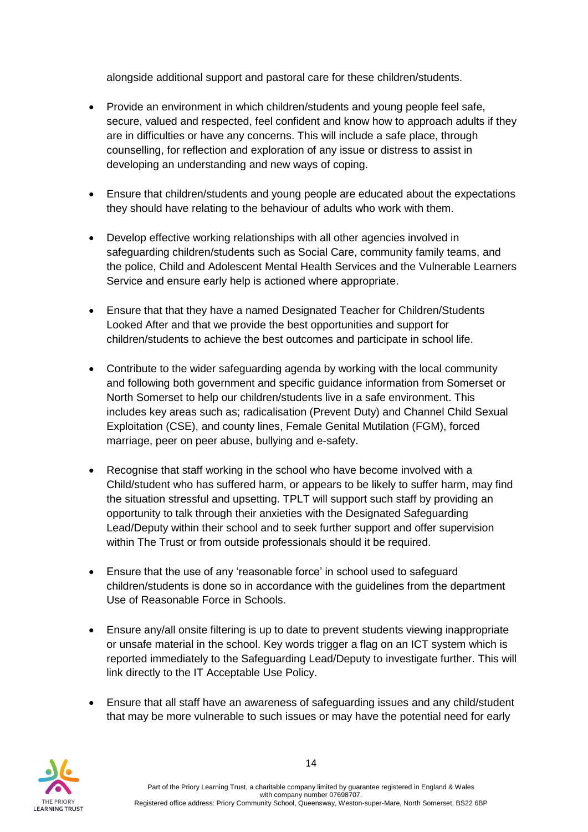alongside additional support and pastoral care for these children/students.

- Provide an environment in which children/students and young people feel safe, secure, valued and respected, feel confident and know how to approach adults if they are in difficulties or have any concerns. This will include a safe place, through counselling, for reflection and exploration of any issue or distress to assist in developing an understanding and new ways of coping.
- Ensure that children/students and young people are educated about the expectations they should have relating to the behaviour of adults who work with them.
- Develop effective working relationships with all other agencies involved in safeguarding children/students such as Social Care, community family teams, and the police, Child and Adolescent Mental Health Services and the Vulnerable Learners Service and ensure early help is actioned where appropriate.
- Ensure that that they have a named Designated Teacher for Children/Students Looked After and that we provide the best opportunities and support for children/students to achieve the best outcomes and participate in school life.
- Contribute to the wider safeguarding agenda by working with the local community and following both government and specific guidance information from Somerset or North Somerset to help our children/students live in a safe environment. This includes key areas such as; radicalisation (Prevent Duty) and Channel Child Sexual Exploitation (CSE), and county lines, Female Genital Mutilation (FGM), forced marriage, peer on peer abuse, bullying and e-safety.
- Recognise that staff working in the school who have become involved with a Child/student who has suffered harm, or appears to be likely to suffer harm, may find the situation stressful and upsetting. TPLT will support such staff by providing an opportunity to talk through their anxieties with the Designated Safeguarding Lead/Deputy within their school and to seek further support and offer supervision within The Trust or from outside professionals should it be required.
- Ensure that the use of any 'reasonable force' in school used to safeguard children/students is done so in accordance with the guidelines from the department Use of Reasonable Force in Schools.
- Ensure any/all onsite filtering is up to date to prevent students viewing inappropriate or unsafe material in the school. Key words trigger a flag on an ICT system which is reported immediately to the Safeguarding Lead/Deputy to investigate further. This will link directly to the IT Acceptable Use Policy.
- Ensure that all staff have an awareness of safeguarding issues and any child/student that may be more vulnerable to such issues or may have the potential need for early

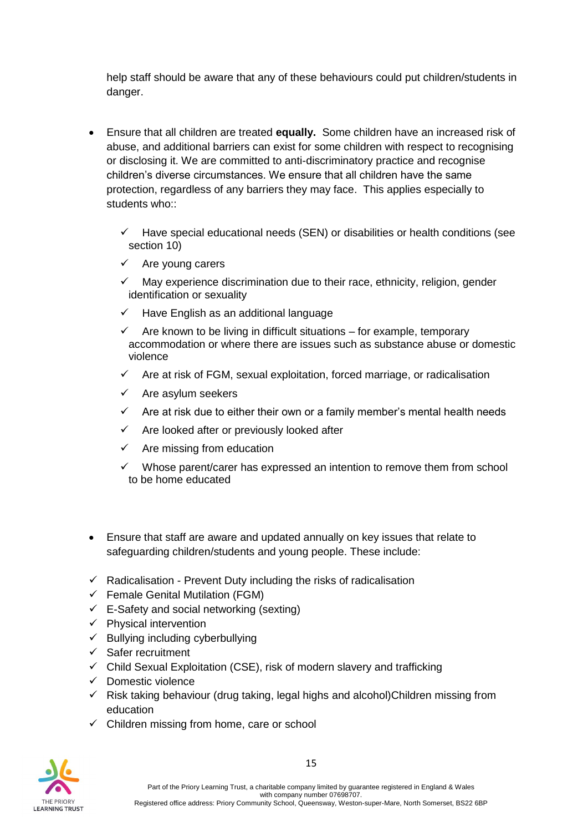help staff should be aware that any of these behaviours could put children/students in danger.

- Ensure that all children are treated **equally.** Some children have an increased risk of abuse, and additional barriers can exist for some children with respect to recognising or disclosing it. We are committed to anti-discriminatory practice and recognise children's diverse circumstances. We ensure that all children have the same protection, regardless of any barriers they may face. This applies especially to students who::
	- $\checkmark$  Have special educational needs (SEN) or disabilities or health conditions (see section 10)
	- $\checkmark$  Are young carers
	- $\checkmark$  May experience discrimination due to their race, ethnicity, religion, gender identification or sexuality
	- $\checkmark$  Have English as an additional language
	- $\checkmark$  Are known to be living in difficult situations for example, temporary accommodation or where there are issues such as substance abuse or domestic violence
	- $\checkmark$  Are at risk of FGM, sexual exploitation, forced marriage, or radicalisation
	- $\checkmark$  Are asylum seekers
	- $\checkmark$  Are at risk due to either their own or a family member's mental health needs
	- $\checkmark$  Are looked after or previously looked after
	- $\checkmark$  Are missing from education
	- $\checkmark$  Whose parent/carer has expressed an intention to remove them from school to be home educated
- Ensure that staff are aware and updated annually on key issues that relate to safeguarding children/students and young people. These include:
- $\checkmark$  Radicalisation Prevent Duty including the risks of radicalisation
- $\checkmark$  Female Genital Mutilation (FGM)
- $\checkmark$  E-Safety and social networking (sexting)
- $\checkmark$  Physical intervention
- $\checkmark$  Bullying including cyberbullying
- ✓ Safer recruitment
- $\checkmark$  Child Sexual Exploitation (CSE), risk of modern slavery and trafficking
- ✓ Domestic violence
- $\checkmark$  Risk taking behaviour (drug taking, legal highs and alcohol)Children missing from education
- $\checkmark$  Children missing from home, care or school

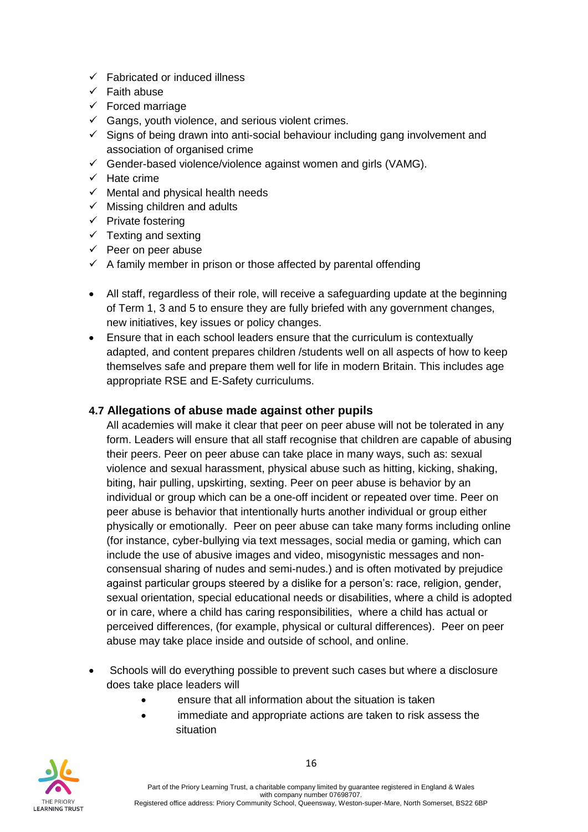- $\checkmark$  Fabricated or induced illness
- $\checkmark$  Faith abuse
- $\checkmark$  Forced marriage
- $\checkmark$  Gangs, youth violence, and serious violent crimes.
- $\checkmark$  Signs of being drawn into anti-social behaviour including gang involvement and association of organised crime
- $\checkmark$  Gender-based violence/violence against women and girls (VAMG).
- ✓ Hate crime
- $\checkmark$  Mental and physical health needs
- $\checkmark$  Missing children and adults
- ✓ Private fostering
- $\checkmark$  Texting and sexting
- $\checkmark$  Peer on peer abuse
- $\checkmark$  A family member in prison or those affected by parental offending
- All staff, regardless of their role, will receive a safeguarding update at the beginning of Term 1, 3 and 5 to ensure they are fully briefed with any government changes, new initiatives, key issues or policy changes.
- Ensure that in each school leaders ensure that the curriculum is contextually adapted, and content prepares children /students well on all aspects of how to keep themselves safe and prepare them well for life in modern Britain. This includes age appropriate RSE and E-Safety curriculums.

## **4.7 Allegations of abuse made against other pupils**

All academies will make it clear that peer on peer abuse will not be tolerated in any form. Leaders will ensure that all staff recognise that children are capable of abusing their peers. Peer on peer abuse can take place in many ways, such as: sexual violence and sexual harassment, physical abuse such as hitting, kicking, shaking, biting, hair pulling, upskirting, sexting. Peer on peer abuse is behavior by an individual or group which can be a one-off incident or repeated over time. Peer on peer abuse is behavior that intentionally hurts another individual or group either physically or emotionally. Peer on peer abuse can take many forms including online (for instance, cyber-bullying via text messages, social media or gaming, which can include the use of abusive images and video, misogynistic messages and nonconsensual sharing of nudes and semi-nudes.) and is often motivated by prejudice against particular groups steered by a dislike for a person's: race, religion, gender, sexual orientation, special educational needs or disabilities, where a child is adopted or in care, where a child has caring responsibilities, where a child has actual or perceived differences, (for example, physical or cultural differences). Peer on peer abuse may take place inside and outside of school, and online.

- Schools will do everything possible to prevent such cases but where a disclosure does take place leaders will
	- ensure that all information about the situation is taken
	- immediate and appropriate actions are taken to risk assess the situation

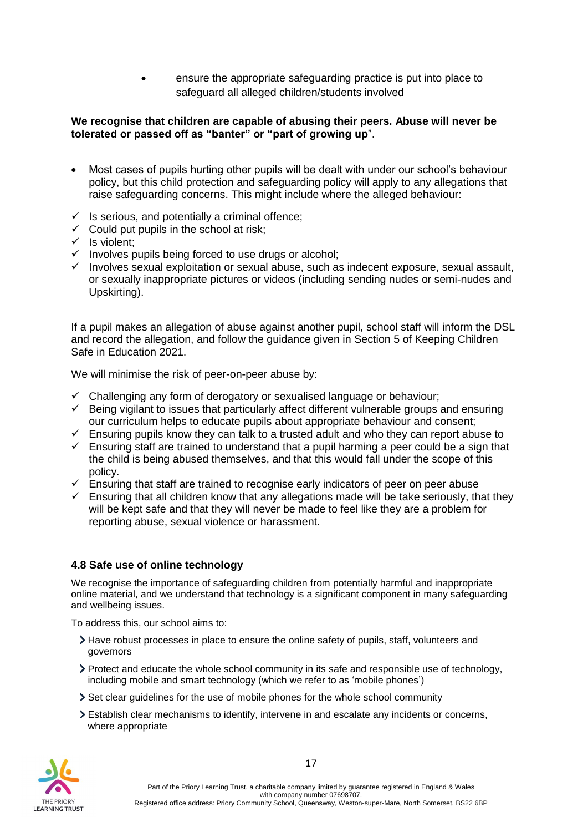• ensure the appropriate safeguarding practice is put into place to safeguard all alleged children/students involved

#### **We recognise that children are capable of abusing their peers. Abuse will never be tolerated or passed off as "banter" or "part of growing up**".

- Most cases of pupils hurting other pupils will be dealt with under our school's behaviour policy, but this child protection and safeguarding policy will apply to any allegations that raise safeguarding concerns. This might include where the alleged behaviour:
- $\checkmark$  Is serious, and potentially a criminal offence;
- $\checkmark$  Could put pupils in the school at risk;
- $\checkmark$  Is violent:
- ✓ Involves pupils being forced to use drugs or alcohol;
- ✓ Involves sexual exploitation or sexual abuse, such as indecent exposure, sexual assault, or sexually inappropriate pictures or videos (including sending nudes or semi-nudes and Upskirting).

If a pupil makes an allegation of abuse against another pupil, school staff will inform the DSL and record the allegation, and follow the guidance given in Section 5 of Keeping Children Safe in Education 2021.

We will minimise the risk of peer-on-peer abuse by:

- $\checkmark$  Challenging any form of derogatory or sexualised language or behaviour;
- $\checkmark$  Being vigilant to issues that particularly affect different vulnerable groups and ensuring our curriculum helps to educate pupils about appropriate behaviour and consent;
- $\checkmark$  Ensuring pupils know they can talk to a trusted adult and who they can report abuse to
- $\checkmark$  Ensuring staff are trained to understand that a pupil harming a peer could be a sign that the child is being abused themselves, and that this would fall under the scope of this policy.
- $\checkmark$  Ensuring that staff are trained to recognise early indicators of peer on peer abuse
- $\checkmark$  Ensuring that all children know that any allegations made will be take seriously, that they will be kept safe and that they will never be made to feel like they are a problem for reporting abuse, sexual violence or harassment.

#### **4.8 Safe use of online technology**

We recognise the importance of safeguarding children from potentially harmful and inappropriate online material, and we understand that technology is a significant component in many safeguarding and wellbeing issues.

To address this, our school aims to:

- Have robust processes in place to ensure the online safety of pupils, staff, volunteers and governors
- Protect and educate the whole school community in its safe and responsible use of technology, including mobile and smart technology (which we refer to as 'mobile phones')
- Set clear guidelines for the use of mobile phones for the whole school community
- Establish clear mechanisms to identify, intervene in and escalate any incidents or concerns, where appropriate

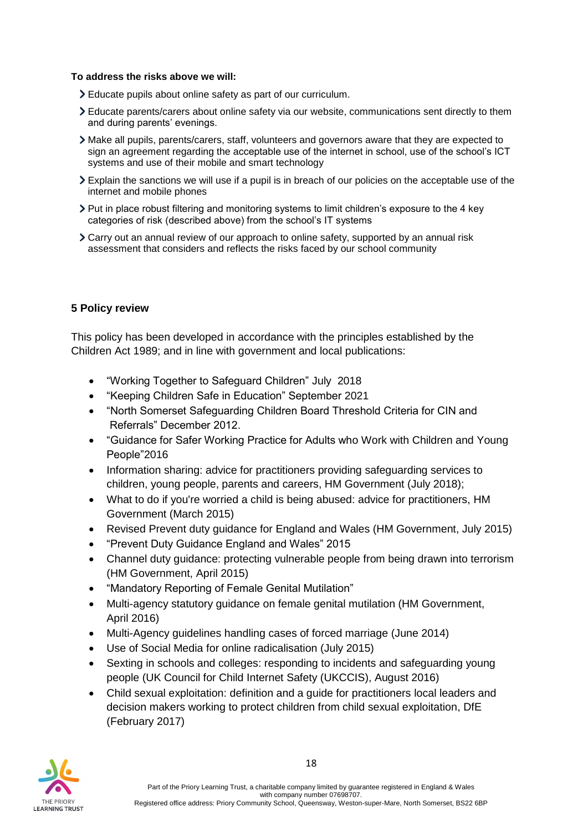#### **To address the risks above we will:**

- Educate pupils about online safety as part of our curriculum.
- Educate parents/carers about online safety via our website, communications sent directly to them and during parents' evenings.
- Make all pupils, parents/carers, staff, volunteers and governors aware that they are expected to sign an agreement regarding the acceptable use of the internet in school, use of the school's ICT systems and use of their mobile and smart technology
- Explain the sanctions we will use if a pupil is in breach of our policies on the acceptable use of the internet and mobile phones
- Put in place robust filtering and monitoring systems to limit children's exposure to the 4 key categories of risk (described above) from the school's IT systems
- Carry out an annual review of our approach to online safety, supported by an annual risk assessment that considers and reflects the risks faced by our school community

## **5 Policy review**

This policy has been developed in accordance with the principles established by the Children Act 1989; and in line with government and local publications:

- "Working Together to Safeguard Children" July 2018
- "Keeping Children Safe in Education" September 2021
- "North Somerset Safeguarding Children Board Threshold Criteria for CIN and Referrals" December 2012.
- "Guidance for Safer Working Practice for Adults who Work with Children and Young People"2016
- Information sharing: advice for practitioners providing safeguarding services to children, young people, parents and careers, HM Government (July 2018);
- What to do if you're worried a child is being abused: advice for practitioners, HM Government (March 2015)
- Revised Prevent duty guidance for England and Wales (HM Government, July 2015)
- "Prevent Duty Guidance England and Wales" 2015
- Channel duty quidance: protecting vulnerable people from being drawn into terrorism (HM Government, April 2015)
- "Mandatory Reporting of Female Genital Mutilation"
- Multi-agency statutory guidance on female genital mutilation (HM Government, April 2016)
- Multi-Agency guidelines handling cases of forced marriage (June 2014)
- Use of Social Media for online radicalisation (July 2015)
- Sexting in schools and colleges: responding to incidents and safeguarding young people (UK Council for Child Internet Safety (UKCCIS), August 2016)
- Child sexual exploitation: definition and a guide for practitioners local leaders and decision makers working to protect children from child sexual exploitation, DfE (February 2017)